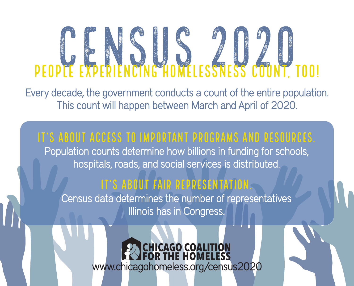# PEOPLE EXPERIENCING HOMELESSNESS COUNT, TOO!

Every decade, the government conducts a count of the entire population. This count will happen between March and April of 2020.

## It's about access to important programs and resources.

Population counts determine how billions in funding for schools, hospitals, roads, and social services is distributed.

### It's about fair representation.

Census data determines the number of representatives Illinois has in Congress.

> **CHICAGO COALITION**<br>FOR THE HOMELESS www.chicagohomeless.org/census2020